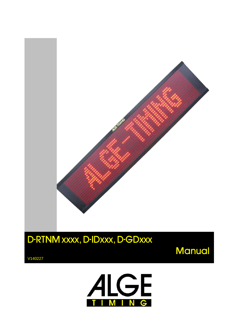

V140227



**Manual** 

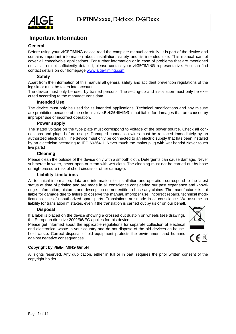

#### **Important Information**

#### **General**

Before using your ALGE-TIMING device read the complete manual carefully. It is part of the device and contains important information about installation, safety and its intended use. This manual cannot cover all conceivable applications. For further information or in case of problems that are mentioned not at all or not sufficiently detailed, please contact your **ALGE-TIMING** representative. You can find contact details on our homepage [www.alge-timing.com](http://www.alge-timing.com/)

#### **Safety**

Apart from the information of this manual all general safety and accident prevention regulations of the legislator must be taken into account.

The device must only be used by trained persons. The setting-up and installation must only be executed according to the manufacturer's data.

#### **Intended Use**

The device must only be used for its intended applications. Technical modifications and any misuse are prohibited because of the risks involved! ALGE-TIMING is not liable for damages that are caused by improper use or incorrect operation.

#### **Power supply**

The stated voltage on the type plate must correspond to voltage of the power source. Check all connections and plugs before usage. Damaged connection wires must be replaced immediately by an authorized electrician. The device must only be connected to an electric supply that has been installed by an electrician according to IEC 60364-1. Never touch the mains plug with wet hands! Never touch live parts!

#### **Cleaning**

Please clean the outside of the device only with a smooth cloth. Detergents can cause damage. Never submerge in water, never open or clean with wet cloth. The cleaning must not be carried out by hose or high-pressure (risk of short circuits or other damage).

#### **Liability Limitations**

All technical information, data and information for installation and operation correspond to the latest status at time of printing and are made in all conscience considering our past experience and knowledge. Information, pictures and description do not entitle to base any claims. The manufacturer is not liable for damage due to failure to observe the manual, improper use, incorrect repairs, technical modifications, use of unauthorized spare parts. Translations are made in all conscience. We assume no liability for translation mistakes, even if the translation is carried out by us or on our behalf.

#### **Disposal**

If a label is placed on the device showing a crossed out dustbin on wheels (see drawing), the European directive 2002/96/EG applies for this device.

Please get informed about the applicable regulations for separate collection of electrical and electronical waste in your country and do not dispose of the old devices as household waste. Correct disposal of old equipment protects the environment and humans against negative consequences!



#### **Copyright by** ALGE-TIMING **GmbH**

All rights reserved. Any duplication, either in full or in part, requires the prior written consent of the copyright holder.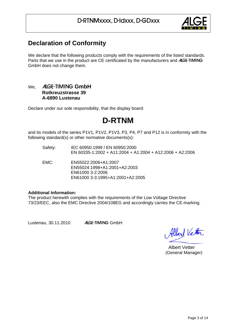

### <span id="page-2-0"></span>**Declaration of Conformity**

We declare that the following products comply with the requirements of the listed standards. Parts that we use in the product are CE certificated by the manufacturers and ALGE-TIMING GmbH does not change them.

#### We, ALGE-TIMING **GmbH Rotkreuzstrasse 39 A-6890 Lustenau**

Declare under our sole responsibility, that the display board:

# **D-RTNM**

and its models of the series P1V1, P1V2, P1V3, P3, P4, P7 and P12 is in conformity with the following standard(s) or other normative documents(s):

- Safety: IEC 60950:1999 / EN 60950:2000 EN 60335-1:2002 + A11:2004 + A1:2004 + A12:2006 + A2:2006
- EMC: EN55022:2006+A1:2007 EN55024:1998+A1:2001+A2:2003 EN61000 3-2:2006 EN61000 3-3:1995+A1:2001+A2:2005

#### **Additional Information:**

The product herewith complies with the requirements of the Low Voltage Directive 73/23/EEC, also the EMC Directive 2004/108EG and accordingly carries the CE-marking.

Lustenau, 30.11.2010 ALGE-TIMING GmbH

Albert Vetter

 Albert Vetter (General Manager)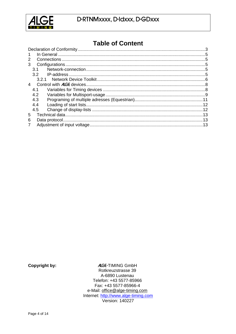

# **Table of Content**

**Copyright by:** 

**ALGE-TIMING GmbH** Rotkreuzstrasse 39 A-6890 Lustenau Telefon: +43 5577-85966 Fax: +43 5577-85966-4 e-Mail: office@alge-timing.com Internet: http://www.alge-timing.com **Version: 140227**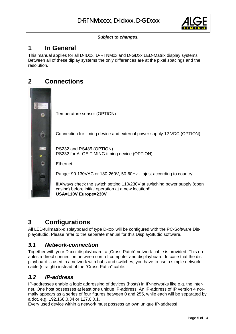

#### *Subject to changes.*

## <span id="page-4-0"></span>**1 In General**

This manual applies for all D-IDxx, D-RTNMxx and D-GDxx LED-Matrix display systems. Between all of these diplay systems the only differences are at the pixel spacings and the resolution.

### **2 Connections**

<span id="page-4-1"></span>

# <span id="page-4-2"></span>**3 Configurations**

All LED-fullmatrix-displayboard of type D-xxx will be configured with the PC-Software DisplayStudio. Please refer to the separate manual for this DisplayStudio software.

### <span id="page-4-3"></span>*3.1 Network-connection*

Together with your D-xxx displayboard, a "Cross-Patch" network-cable is provided. This enables a direct connection between control-computer and displayboard. In case that the displayboard is used in a network with hubs and switches, you have to use a simple networkcable (straight) instead of the "Cross-Patch" cable.

### <span id="page-4-4"></span>*3.2 IP-address*

IP-addresses enable a logic addressing of devices (hosts) in IP-networks like e.g. the internet. One host possesses at least one unique IP-address. An IP-address of IP version 4 normally appears as a series of four figures between 0 and 255, while each will be separated by a dot, e.g. 192.168.0.34 or 127.0.0.1.

Every used device within a network must possess an own unique IP-address!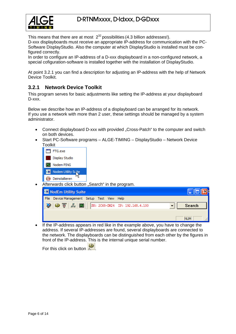

This means that there are at most  $2^{32}$  possibilities (4.3 billion addresses!).

D-xxx displayboards must receive an appropriate IP-address for communication with the PC-Software DisplayStudio. Also the computer at which DisplayStudio is installed must be configured correctly.

In order to configure an IP-address of a D-xxx displayboard in a non-configured network, a special cofiguration-software is installed together with the installation of DisplayStudio.

At point 3.2.1 you can find a description for adjusting an IP-address with the help of Network Device Toolkit.

#### <span id="page-5-0"></span>**3.2.1 Network Device Toolkit**

This program serves for basic adjustments like setting the IP-address at your displayboard D-xxx.

Below we describe how an IP-address of a displayboard can be arranged for its network. If you use a network with more than 2 user, these settings should be managed by a system administrator.

- Connect displayboard D-xxx with provided "Cross-Patch" to the computer and switch on both devices.
- Start PC-Software programs ALGE-TIMING DisplayStudio Network Device **Toolkit**



Afterwards click button "Search" in the program.



 If the IP-address appears in red like in the example above, you have to change the address. If several IP-addresses are found, several displayboards are connected to the network. The displayboards can be distinguished from each other by the figures in front of the IP-address. This is the internal unique serial number.

For this click on button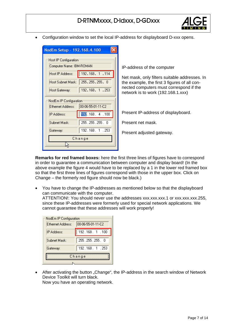

Configuration window to set the local IP-address for displayboard D-xxx opens.

| NodEm Setup - 192.168.4.100 |                                             |  |  |  |  |  |
|-----------------------------|---------------------------------------------|--|--|--|--|--|
|                             | Host IP Configuration                       |  |  |  |  |  |
| Computer Name: IBM-ROMAN    |                                             |  |  |  |  |  |
| Host IP Address:            | 192.168. 1.114                              |  |  |  |  |  |
|                             | Host Subnet Mask:   255.255.255. 0          |  |  |  |  |  |
| Host Gateway:               | 192.168.1.253                               |  |  |  |  |  |
| Ethernet Address:           | NodEm IP Configuration<br>00-06-55-01-11-C2 |  |  |  |  |  |
| IP Address:                 | 192.168.4.100                               |  |  |  |  |  |
| Subnet Mask:                | 255.255.255.0                               |  |  |  |  |  |
| Gateway:                    | 192.168.1.253                               |  |  |  |  |  |
| Change                      |                                             |  |  |  |  |  |
|                             |                                             |  |  |  |  |  |

IP-address of the computer

Net mask, only filters suitable addresses. In the example, the first 3 figures of all connected computers must correspond if the network is to work (192.168.1.xxx)

Present IP-address of displayboard.

Present net mask.

Present adjusted gateway.

**Remarks for red framed boxes:** here the first three lines of figures have to correspond in order to guarantee a communication between computer and display board! (In the above example the figure 4 would have to be replaced by a 1 in the lower red framed box so that the first three lines of figures correspond with those in the upper box. Click on Change – the formerly red figure should now be black.)

 You have to change the IP-addresses as mentioned below so that the displayboard can communicate with the computer.

ATTENTION!: You should never use the addresses xxx.xxx.xxx.1 or xxx.xxx.xxx.255, since these IP-addresses were formerly used for special network applications. We cannot guarantee that these addresses will work properly!

| NodEm IP Configuration                 |               |  |  |  |
|----------------------------------------|---------------|--|--|--|
| 00-06-55-01-11-C2<br>Ethernet Address: |               |  |  |  |
| IP Address:                            | 192.168.1.100 |  |  |  |
| Subnet Mask:                           | 255.255.255.0 |  |  |  |
| Gateway:                               | 192.168.1.253 |  |  |  |
| Change                                 |               |  |  |  |
|                                        |               |  |  |  |

• After activating the button "Change", the IP-address in the search window of Network Device Toolkit will turn black. Now you have an operating network.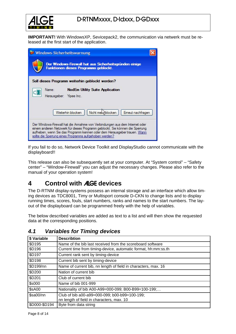

**IMPORTANT!** With WindowsXP, Sevicepack2, the communication via netwerk must be released at the first start of the application.

| <b>Windows-Sicherheitswarnung</b>                                                                                                                                                                                                                                                                 |  |
|---------------------------------------------------------------------------------------------------------------------------------------------------------------------------------------------------------------------------------------------------------------------------------------------------|--|
| Der Windows-Firewall hat aus Sicherheitsgrunden einige<br>Funktionen dieses Programms geblockt.                                                                                                                                                                                                   |  |
| Soll dieses Programm weiterhin geblockt werden?                                                                                                                                                                                                                                                   |  |
| <b>NodEm Utility Suite Application</b><br>Name:<br>Herausgeber:<br>Yipee Inc.                                                                                                                                                                                                                     |  |
| Nicht met blocken<br>Emeut nachfragen<br>Weiterhin blocken                                                                                                                                                                                                                                        |  |
| Der Windows-Firewall hat die Annahme von Verbindungen aus dem Internet oder<br>einem anderen Netzwerk für dieses Programm geblockt. Sie können die Sperrung<br>aufheben, wenn Sie das Programm kennen oder dem Herausgeber trauen. Wann<br>sollte die Sperrung eines Programms aufgehoben werden? |  |

If you fail to do so, Network Device Toolkit and DisplayStudio cannot communicate with the displayboard!!

This release can also be subsequently set at your computer. At "System control" – "Safety center" – "Window-Firewall" you can adjust the necessary changes. Please also refer to the manual of your operation system!

# <span id="page-7-0"></span>**4 Control with** ALGE **devices**

The D-RTNM display-systems possess an internal storage and an interface which allow timing devices as TDC8001, Timy or Multisport console D-CKN to change lists and to display running times, scores, fouls, start numbers, ranks and names to the start numbers. The layout of the displayboard can be programmed freely with the help of variables.

The below described variables are added as text to a list and will then show the requested data at the corresponding positions.

| \$ Variable   | <b>Describtion</b>                                             |
|---------------|----------------------------------------------------------------|
| <b>\$D195</b> | Name of the bib last received from the scoreboard software     |
| \$D196        | Current time from timing-device, automatic format, hh:mm:ss.th |
| \$D197        | Current rank sent by timing-device                             |
| <b>\$D198</b> | Current bib sent by timing-device                              |
| \$D199/nn     | Name of current bib, nn length of field in characters, max. 16 |
| \$D200        | Nation of current bib                                          |
| \$D201        | Club of current bib                                            |
| \$s000        | Name of bib 001-999                                            |
| \$sA00        | Nationality of bib A00-A99=000-099; B00-B99=100-199;           |
| \$sa00/nn     | Club of bib a00-a99=000-099; b00-b99=100-199;                  |
|               | nn length of field in characters, max. 10                      |
| \$D000-\$D194 | Byte from data string                                          |

#### <span id="page-7-1"></span>*4.1 Variables for Timing devices*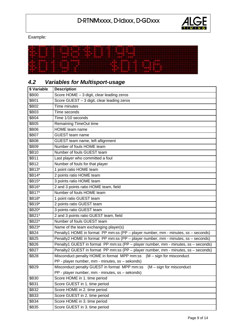

Example:



| \$ Variable  | <b>Description</b>                                                                 |
|--------------|------------------------------------------------------------------------------------|
| \$B00        | Score HOME - 3 digit, clear leading zeros                                          |
| \$B01        | Score GUEST - 3 digit, clear leading zeros                                         |
| \$B02        | <b>Time minutes</b>                                                                |
| <b>\$B03</b> | Time seconds                                                                       |
| \$B04        | Time 1/10 seconds                                                                  |
| \$B05        | Remaining TimeOut time                                                             |
| \$B06        | HOME team name                                                                     |
| \$B07        | <b>GUEST</b> team name                                                             |
| \$B08        | GUEST team name, left allignment                                                   |
| \$B09        | Number of fouls HOME team                                                          |
| \$B10        | Number of fouls GUEST team                                                         |
| \$B11        | Last player who committed a foul                                                   |
| <b>\$B12</b> | Number of fouls for that player                                                    |
| \$B13*       | 1 point ratio HOME team                                                            |
| \$B14*       | 2 points ratio HOME team                                                           |
| \$B15*       | 3 points ratio HOME team                                                           |
| \$B16*       | 2 and 3 points ratio HOME team, field                                              |
| \$B17*       | Number of fouls HOME team                                                          |
| \$B18*       | 1 point ratio GUEST team                                                           |
| \$B19*       | 2 points ratio GUEST team                                                          |
| \$B20*       | 3 points ratio GUEST team                                                          |
| \$B21*       | 2 and 3 points ratio GUEST team, field                                             |
| \$B22*       | Number of fouls GUEST team                                                         |
| \$B23*       | Name of the team exchanging player(s)                                              |
| \$B24        | Penalty1 HOME in format PP mm:ss (PP - player number, mm - minutes, ss - seconds)  |
| <b>\$B25</b> | Penalty2 HOME in format PP mm:ss (PP - player number, mm - minutes, ss - seconds)  |
| \$B26        | Penalty1 GUEST in format PP mm:ss (PP - player number, mm - minutes, ss - seconds) |
| \$B27        | Penalty2 GUEST in format PP mm:ss (PP - player number, mm - minutes, ss - seconds) |
| \$B28        | Misconduct penalty HOME in format MPP mm:ss (M - sign for misconduct               |
|              | PP - player number, mm - minutes, ss - sekonds)                                    |
| \$B29        | Misconduct penalty GUEST in format MPP mm:ss<br>$(M - sign for misconduct)$        |
|              | PP - player number, mm - minutes, ss - sekonds)                                    |
| \$B30        | Score HOME in 1. time period                                                       |
| \$B31        | Score GUEST in 1. time period                                                      |
| \$B32        | Score HOME in 2. time period                                                       |
| \$B33        | Score GUEST in 2. time period                                                      |
| \$B34        | Score HOME in 3. time period                                                       |
| \$B35        | Score GUEST in 3. time period                                                      |

# <span id="page-8-0"></span>*4.2 Variables for Multisport-usage*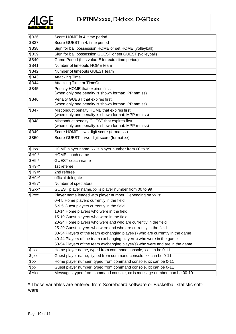

| \$B36              | Score HOME in 4. time period                                                                      |
|--------------------|---------------------------------------------------------------------------------------------------|
| \$B37              | Score GUEST in 4. time period                                                                     |
| \$B38              | Sign for ball possession HOME or set HOME (volleyball)                                            |
| \$B39              | Sign for ball possession GUEST or set GUEST (volleyball)                                          |
| \$B40              | Game Period (has value E for extra time period)                                                   |
| \$B41              | Number of timeouts HOME team                                                                      |
| <b>\$B42</b>       | Number of timeouts GUEST team                                                                     |
| <b>\$B43</b>       | <b>Attacking Time</b>                                                                             |
| <b>\$B44</b>       | Attacking Time or TimeOut                                                                         |
| <b>\$B45</b>       | Penalty HOME that expires first.<br>(when only one penalty is shown format: PP mm:ss)             |
| \$B46              | Penalty GUEST that expires first.<br>(when only one penalty is shown format: PP mm:ss)            |
| \$B47              | Misconduct penalty HOME that expires first<br>(when only one penalty is shown format: MPP mm:ss)  |
| \$B48              | Misconduct penalty GUEST that expires first<br>(when only one penalty is shown format: MPP mm:ss) |
| <b>\$B49</b>       | Score HOME - two digit score (format xx)                                                          |
| \$B50              | Score GUEST - two digit score (format xx)                                                         |
|                    |                                                                                                   |
| \$Hxx*             | HOME player name, xx is player number from 00 to 99                                               |
| \$H9:*             | HOME coach name                                                                                   |
| \$H9;*             | GUEST coach name                                                                                  |
| $$H9<$ *           | 1st referee                                                                                       |
| $$H9=$ *           | 2nd referee                                                                                       |
| $$H9$ <sup>*</sup> | official delegate                                                                                 |
| \$H9?*             | Number of spectators                                                                              |
| \$Gxx*             | GUEST player name, xx is player number from 00 to 99                                              |
| \$Pxx*             | Player name leaded with player number. Depending on xx is:                                        |
|                    | 0-4 5 Home players currently in the field                                                         |
|                    | 5-9 5 Guest players currently in the field                                                        |
|                    | 10-14 Home players who were in the field                                                          |
|                    | 15-19 Guest players who were in the field                                                         |
|                    | 20-24 Home players who were and who are currently in the field                                    |
|                    | 25-29 Guest players who were and who are currently in the field                                   |
|                    | 30-34 Players of the team exchanging player(s) who are currently in the game                      |
|                    | 40-44 Players of the team exchanging player(s) who were in the game                               |
|                    | 50-54 Players of the team exchanging player(s) who were and are in the game                       |
| \$hxx              | Home player name, typed from command console, xx can be 0-11                                      |
| \$gxx              | Guest player name, typed from command console, xx can be 0-11                                     |
| \$ixx              | Home player number, typed from command console, xx can be 0-11                                    |
| \$jxx              | Guest player number, typed from command console, xx can be 0-11                                   |
| \$Mxx              | Messages typed from command console, xx is message number, can be 00-19                           |

\* Those variables are entered from Scoreboard software or Basketball statistic software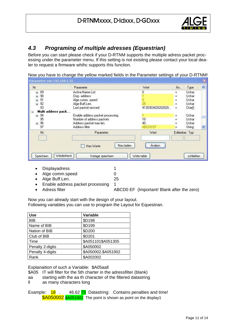

### <span id="page-10-0"></span>*4.3 Programing of multiple adresses (Equestrian)*

Before you can start please check if your D-RTNM supports the multiple adress packet processing under the parameter menu. If this setting is not exisitng please contact your local dealer to request a firmware whihc supports this function.

Now you have to change the yellow marked fields in the Parameter settings of your D-RTNM!

| Parameter von 192.168.1.35 |                                  |                  |           |                    | $\mathbf{x}$        |
|----------------------------|----------------------------------|------------------|-----------|--------------------|---------------------|
| Nr                         | Parameter                        | Wert             | Än        | Type               | $\hat{\phantom{a}}$ |
| 89<br>$\pm$                | Active Name List                 | О                | ÷.        | Uchar              |                     |
| 90<br>$+$                  | Disp. address                    |                  | $+$       | Uchar              |                     |
| 91<br>$\left  + \right $   | Alge comm, speed                 |                  | ÷.        | Uchar              |                     |
| 92<br>$\pm$                | Alge Buff.Len.                   | 25               | $+$       | Uchar              |                     |
| 93                         | Last packet recived              | 4130303420202020 | $\ddot{}$ | Char <sup>[]</sup> |                     |
| Multi address pack<br>e    |                                  |                  |           |                    |                     |
| 94<br>$\pm$                | Enable address packet processing |                  | $+$       | Uchar              |                     |
| 95                         | Number of address packets        | 10               |           | Uchar              |                     |
| 96<br>$\pm$                | Address packet max len.          | 40               |           | Uchar              |                     |
| 97                         | Address filter                   | ABCD0 EF         | $+$       | String             |                     |
| Nr:                        | Parameter:                       | Wert:            |           | Editierbar: Typ:   |                     |
|                            | Neu laden<br>Hex Werte           | Ändern           |           |                    |                     |
| Speichern                  | Wiederherst<br>Vorlage speichern | Write table      |           | schließen          |                     |

- Displayadress 1
- Alge comm.speed 0
- Alge Buff.Len. 25
- Enable address packet processing 1
- Adress filter **ABCD0 EF** (Important! Blank after the zero)

Now you can already start with the design of your layout. Following variables you can use to program the Layout for Equestrian.

| <b>Use</b>       | Variable            |
|------------------|---------------------|
| <b>BIB</b>       | \$D198              |
| Name of BIB      | <b>\$D199</b>       |
| Nation of BIB    | \$D200              |
| Club of BIB      | \$D201              |
| Time             | \$A051101\$A051305  |
| Penalty 2-digits | \$A050002           |
| Penalty 4-digits | \$A050002.\$A051902 |
| Rank             | \$A002002           |

Explanaition of such a Variable: \$A05aall

\$A05 IT will filter for the 5th charter in the adressfilter (blank)

- aa starting with the aa th character of the filtered datastring
- ll as many characters long

Example: 18 . 46.62 75 Datastring: Contains penalties and time! \$A050002.\$A051902 The point is shown as point on the display1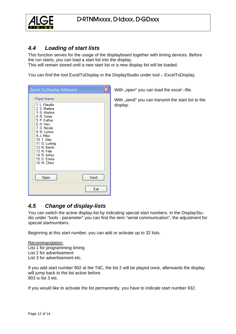

### <span id="page-11-0"></span>*4.4 Loading of start lists*

This function serves for the usage of the displayboard together with timing devices. Before the run starts, you can load a start list into the display.

This will remain stored until a new start list or a new display list will be loaded.

You can find the tool ExcelToDisplay in the DisplayStudio under tool – ExcelToDisplay.

| <b>Excel To Display Software</b>                                                                                                                                                                                                                                                 |      |
|----------------------------------------------------------------------------------------------------------------------------------------------------------------------------------------------------------------------------------------------------------------------------------|------|
| Player Names<br>1. L. Klaudia<br>2. S. Martina<br>3. G. Martina<br>4. N. Sonja<br>5. P. Kathar.<br>6. H. Ines<br>7. O. Nicole<br>8. N. Lorenz<br>9. J. Milos<br>10. T. Alex.<br>11. G. Ludwig<br>12. N. Bernh.<br>13. N. Felix<br>14. R. Arthur<br>15. D. Emma<br>16. M. Christ. |      |
| Open                                                                                                                                                                                                                                                                             | Send |
|                                                                                                                                                                                                                                                                                  | Exit |

With "open" you can load the excel –file.

With "send" you can transmit the start list to the display.

### <span id="page-11-1"></span>*4.5 Change of display-lists*

You can switch the active display-list by indicating special start numbers. In the DisplayStudio under "tools - parameter" you can find the item "serial communication", the adjustment for special startnumbers.

Beginning at this start number, you can add or activate up to 32 lists.

Recommandation: List 1 for programming timing List 2 for advertisement List 3 for advertisement etc.

If you add start number 902 at the TdC, the list 2 will be played once, afterwards the display will jump back to the list active before. 903 is list 3 etc.

If you would like to activate the list permanently, you have to indicate start number 932.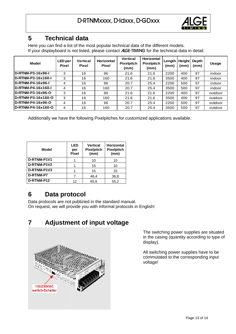

### **5 Technical data**

Here you can find a list of the most popular technical data of the different models. If your displayboard is not listed, please contact ALGE-TIMING for the technical data in detail.

<span id="page-12-0"></span>

| <b>Model</b>               | LED per<br><b>Pixel</b> | <b>Vertical</b><br><b>Pixel</b> | <b>Horizontal</b><br><b>Pixel</b> | <b>Vertical</b><br><b>Pixelpitch</b><br>(mm) | <b>Horizontal</b><br><b>Pixelpitch</b><br>(mm) | Length   Height<br>(mm) | (mm) | Depth<br>(mm) | <b>Usage</b> |
|----------------------------|-------------------------|---------------------------------|-----------------------------------|----------------------------------------------|------------------------------------------------|-------------------------|------|---------------|--------------|
| D-RTNM-P3-16x96-I          | 3                       | 16                              | 96                                | 21.6                                         | 21.6                                           | 2200                    | 400  | 97            | indoor       |
| D-RTNM-P3-16x160-L         | 3                       | 16                              | 160                               | 21.6                                         | 21.6                                           | 3500                    | 400  | 97            | indoor       |
| <b>ID-RTNM-P4-16x96-L</b>  | 4                       | 16                              | 96                                | 20.7                                         | 25.4                                           | 2200                    | 500  | 97            | indoor       |
| D-RTNM-P4-16x160-L         | 4                       | 16                              | 160                               | 20.7                                         | 25.4                                           | 3500                    | 500  | 97            | indoor       |
| D-RTNM-P3-16x96-O          | 3                       | 16                              | 96                                | 21.6                                         | 21.6                                           | 2200                    | 400  | 97            | outdoor      |
| <b>ID-RTNM-P3-16x160-O</b> | 3                       | 16                              | 160                               | 21.6                                         | 21.6                                           | 3500                    | 400  | 97            | outdoor      |
| D-RTNM-P4-16x96-O          | 4                       | 16                              | 96                                | 20.7                                         | 25.4                                           | 2200                    | 500  | 97            | outdoor      |
| <b>ID-RTNM-P4-16x160-O</b> | 4                       | 16                              | 160                               | 20.7                                         | 25.4                                           | 3500                    | 500  | 97            | outdoor      |

Additionally we have the following Pixelpitches for customized applications available.

| Model       | <b>LED</b><br>per<br><b>Pixel</b> | <b>Vertical</b><br><b>Pixelpitch</b><br>(mm) | <b>Horizontal</b><br><b>Pixelpitch</b><br>(mm) |
|-------------|-----------------------------------|----------------------------------------------|------------------------------------------------|
| D-RTNM-P1V1 |                                   | 10                                           | 10                                             |
| D-RTNM-P1V2 |                                   | 15                                           | 10                                             |
| D-RTNM-P1V3 |                                   | 15                                           | 15                                             |
| D-RTNM-P7   |                                   | 46,4                                         | 36,8                                           |
| D-RTNM-P12  | 12                                | 65,6                                         | 55,2                                           |

### <span id="page-12-1"></span>**6 Data protocol**

Data protocols are not publizied in the standard manual. On request, we will provide you with informal protocols in English!

# **7 Adjustment of input voltage**

<span id="page-12-2"></span>

The switching power supplies are situated in the casing (quantity according to type of display).

All switching power supplies have to be commutated to the corresponding input voltage!